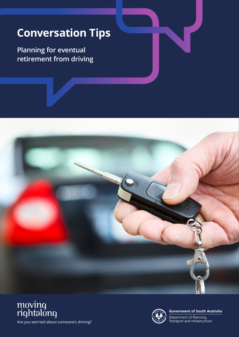## **Conversation Tips**

**Planning for eventual retirement from driving**







**Government of South Australia** 

Department of Planning,<br>Transport and Infrastructure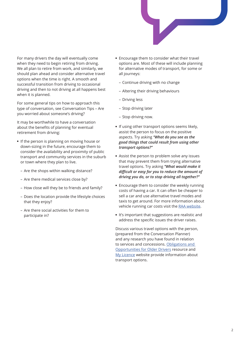

For many drivers the day will eventually come when they need to begin retiring from driving. We all plan to retire from work, and similarly, we should plan ahead and consider alternative travel options when the time is right. A smooth and successful transition from driving to occasional driving and then to not driving at all happens best when it is planned.

For some general tips on how to approach this type of conversation, see Conversation Tips – Are you worried about someone's driving?

It may be worthwhile to have a conversation about the benefits of planning for eventual retirement from driving:

- If the person is planning on moving house or down-sizing in the future, encourage them to consider the availability and proximity of public transport and community services in the suburb or town where they plan to live.
	- Are the shops within walking distance?
	- Are there medical services close by?
	- How close will they be to friends and family?
	- Does the location provide the lifestyle choices that they enjoy?
	- Are there social activities for them to participate in?
- Encourage them to consider what their travel options are. Most of these will include planning for alternative modes of transport, for some or all journeys:
	- Continue driving with no change
	- Altering their driving behaviours
	- Driving less
	- Stop driving later
	- Stop driving now.
- If using other transport options seems likely, assist the person to focus on the positive aspects. Try asking *"What do you see as the good things that could result from using other transport options?"*
- Assist the person to problem solve any issues that may prevent them from trying alternative travel options. Try asking *''What would make it difficult or easy for you to reduce the amount of driving you do, or to stop driving all together?''*
- Encourage them to consider the weekly running costs of having a car. It can often be cheaper to sell a car and use alternative travel modes and taxis to get around. For more information about vehicle running car costs visit the [RAA website](https://www.raa.com.au/motor/safety-and-advice/car-advice).
- It's important that suggestions are realistic and address the specific issues the driver raises.

Discuss various travel options with the person, (prepared from the Conversation Planner) and any research you have found in relation to services and concessions. [Obligations and](https://www.dpti.sa.gov.au/__data/assets/pdf_file/0006/575592/Moving_Right_Along_brochure_-_June_2019.pdf)  [Opportunities for Older Drivers](https://www.dpti.sa.gov.au/__data/assets/pdf_file/0006/575592/Moving_Right_Along_brochure_-_June_2019.pdf) resource and [My Licence](https://www.mylicence.sa.gov.au/road-rules/the-drivers-handbook/fitness-to-drive) website provide information about transport options.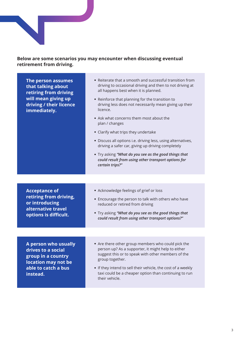

## **Below are some scenarios you may encounter when discussing eventual retirement from driving.**

| The person assumes<br>that talking about<br>retiring from driving<br>will mean giving up<br>driving / their licence<br>immediately. | • Reiterate that a smooth and successful transition from<br>driving to occasional driving and then to not driving at<br>all happens best when it is planned.<br>• Reinforce that planning for the transition to<br>driving less does not necessarily mean giving up their<br>licence.<br>• Ask what concerns them most about the<br>plan / changes<br>• Clarify what trips they undertake<br>• Discuss all options i.e. driving less, using alternatives,<br>driving a safer car, giving up driving completely<br>. Try asking "What do you see as the good things that<br>could result from using other transport options for<br>certain trips?" |  |
|-------------------------------------------------------------------------------------------------------------------------------------|---------------------------------------------------------------------------------------------------------------------------------------------------------------------------------------------------------------------------------------------------------------------------------------------------------------------------------------------------------------------------------------------------------------------------------------------------------------------------------------------------------------------------------------------------------------------------------------------------------------------------------------------------|--|
|                                                                                                                                     |                                                                                                                                                                                                                                                                                                                                                                                                                                                                                                                                                                                                                                                   |  |
| <b>Acceptance of</b><br>retiring from driving,<br>or introducing<br>alternative travel<br>options is difficult.                     | • Acknowledge feelings of grief or loss<br>• Encourage the person to talk with others who have<br>reduced or retired from driving<br>. Try asking "What do you see as the good things that<br>could result from using other transport options?"                                                                                                                                                                                                                                                                                                                                                                                                   |  |
|                                                                                                                                     |                                                                                                                                                                                                                                                                                                                                                                                                                                                                                                                                                                                                                                                   |  |
| A person who usually<br>drives to a social<br>group in a country<br>location may not be<br>able to catch a bus<br>instead.          | • Are there other group members who could pick the<br>person up? As a supporter, it might help to either<br>suggest this or to speak with other members of the<br>group together.<br>• If they intend to sell their vehicle, the cost of a weekly<br>taxi could be a cheaper option than continuing to run<br>their vehicle.                                                                                                                                                                                                                                                                                                                      |  |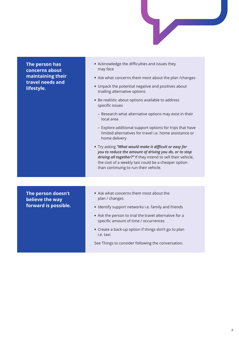

**The person has concerns about maintaining their travel needs and lifestyle.** Acknowledge the difficulties and issues they may face • Ask what concerns them most about the plan /changes Unpack the potential negative and positives about trialling alternative options Be realistic about options available to address specific issues – Research what alternative options may exist in their local area – Explore additional support options for trips that have limited alternatives for travel i.e. home assistance or home delivery Try asking *"What would make it difficult or easy for you to reduce the amount of driving you do, or to stop driving all together?"* If they intend to sell their vehicle, the cost of a weekly taxi could be a cheaper option than continuing to run their vehicle. **The person doesn't believe the way forward is possible.** Ask what concerns them most about the plan / changes • Identify support networks i.e. family and friends Ask the person to trial the travel alternative for a specific amount of time / occurrences Create a back-up option if things don't go to plan i.e. taxi See Things to consider following the conversation.